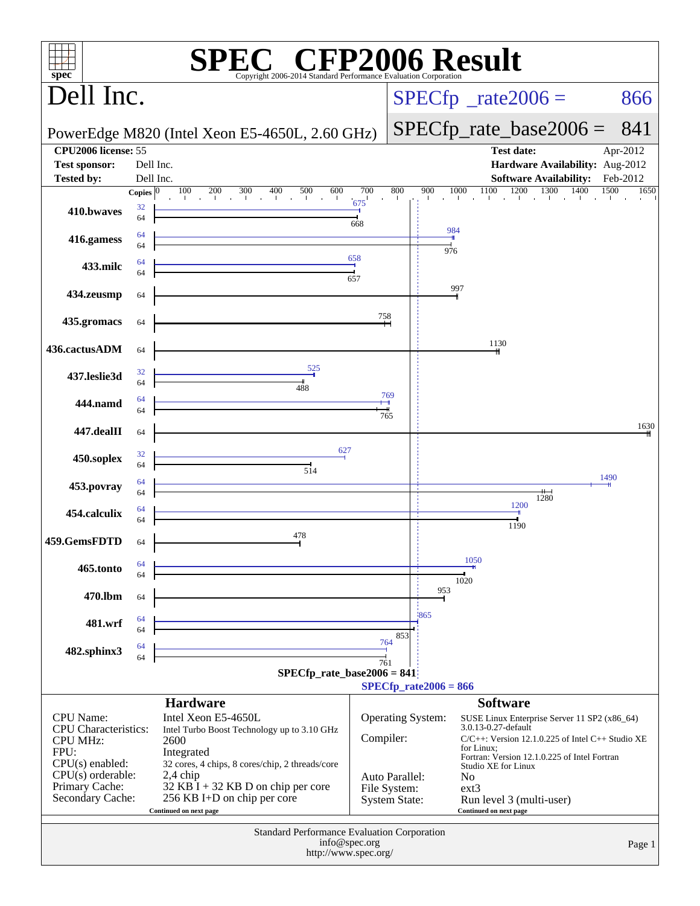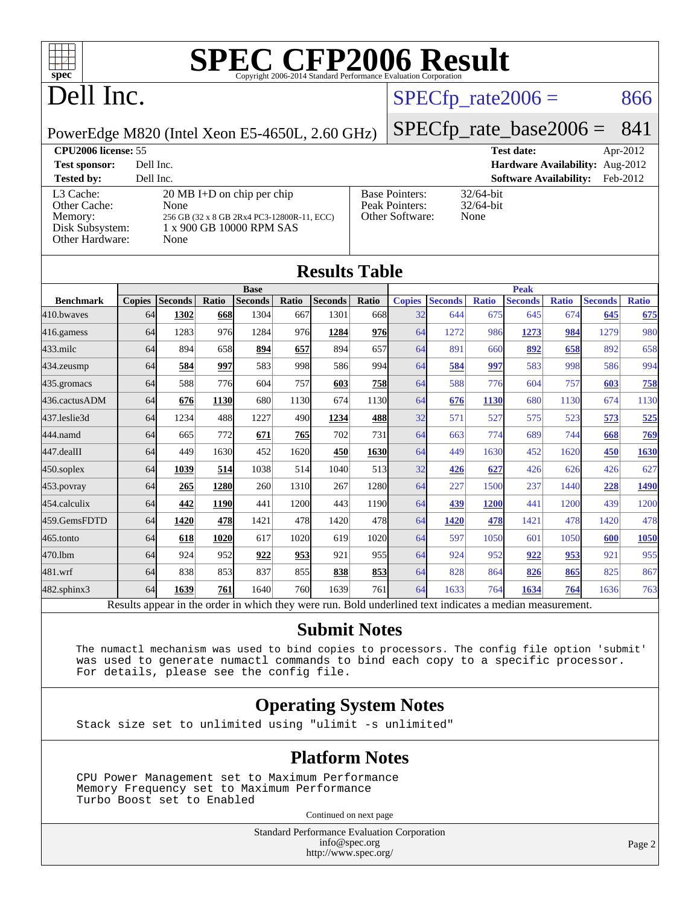

# Dell Inc.

#### $SPECTp_rate2006 = 866$

PowerEdge M820 (Intel Xeon E5-4650L, 2.60 GHz)

# [SPECfp\\_rate\\_base2006 =](http://www.spec.org/auto/cpu2006/Docs/result-fields.html#SPECfpratebase2006) 841

| <b>CPU2006 license: 55</b>                                                 |                                                                                                                                |                                                            | <b>Test date:</b><br>Apr-2012             |  |
|----------------------------------------------------------------------------|--------------------------------------------------------------------------------------------------------------------------------|------------------------------------------------------------|-------------------------------------------|--|
| <b>Test sponsor:</b>                                                       | Dell Inc.                                                                                                                      |                                                            | Hardware Availability: Aug-2012           |  |
| <b>Tested by:</b>                                                          | Dell Inc.                                                                                                                      |                                                            | <b>Software Availability:</b><br>Feb-2012 |  |
| L3 Cache:<br>Other Cache:<br>Memory:<br>Disk Subsystem:<br>Other Hardware: | $20 \text{ MB I+D}$ on chip per chip<br>None<br>256 GB (32 x 8 GB 2Rx4 PC3-12800R-11, ECC)<br>1 x 900 GB 10000 RPM SAS<br>None | <b>Base Pointers:</b><br>Peak Pointers:<br>Other Software: | $32/64$ -bit<br>$32/64$ -bit<br>None      |  |

**[Results Table](http://www.spec.org/auto/cpu2006/Docs/result-fields.html#ResultsTable)**

|                  | Results Table |                                                                                                          |       |                |       |                |            |               |                |              |                |              |                |              |
|------------------|---------------|----------------------------------------------------------------------------------------------------------|-------|----------------|-------|----------------|------------|---------------|----------------|--------------|----------------|--------------|----------------|--------------|
|                  | <b>Base</b>   |                                                                                                          |       |                |       |                |            | <b>Peak</b>   |                |              |                |              |                |              |
| <b>Benchmark</b> | <b>Copies</b> | <b>Seconds</b>                                                                                           | Ratio | <b>Seconds</b> | Ratio | <b>Seconds</b> | Ratio      | <b>Copies</b> | <b>Seconds</b> | <b>Ratio</b> | <b>Seconds</b> | <b>Ratio</b> | <b>Seconds</b> | <b>Ratio</b> |
| 410.bwayes       | 64            | 1302                                                                                                     | 668   | 1304           | 667   | 1301           | 668l       | 32            | 644            | 675          | 645            | 674          | 645            | 675          |
| 416.gamess       | 64            | 1283                                                                                                     | 976   | 1284           | 976   | 1284           | 976        | 64            | 1272           | 986          | 1273           | 984          | 1279           | 980          |
| $433$ .milc      | 64            | 894                                                                                                      | 658   | 894            | 657   | 894            | 657        | 64            | 891            | 660          | 892            | 658          | 892            | 658          |
| 434.zeusmp       | 64            | 584                                                                                                      | 997   | 583            | 998   | 586            | 994        | 64            | 584            | 997          | 583            | 998          | 586            | 994          |
| 435.gromacs      | 64            | 588                                                                                                      | 776   | 604            | 757   | 603            | <u>758</u> | 64            | 588            | 776          | 604            | 757          | 603            | 758          |
| 436.cactusADM    | 64            | 676                                                                                                      | 1130  | 680            | 1130  | 674            | 1130       | 64            | 676            | 1130         | 680            | 1130         | 674            | 1130         |
| 437.leslie3d     | 64            | 1234                                                                                                     | 488   | 1227           | 490   | 1234           | 488        | 32            | 571            | 527          | 575            | 523          | 573            | 525          |
| 444.namd         | 64            | 665                                                                                                      | 772   | 671            | 765   | 702            | 731        | 64            | 663            | 774          | 689            | 744          | 668            | 769          |
| $447$ .dealII    | 64            | 449                                                                                                      | 1630  | 452            | 1620  | 450            | 1630       | 64            | 449            | 1630         | 452            | 1620         | 450            | 1630         |
| $450$ .soplex    | 64            | 1039                                                                                                     | 514   | 1038           | 514   | 1040           | 513        | 32            | 426            | 627          | 426            | 626          | 426            | 627          |
| 453.povray       | 64            | 265                                                                                                      | 1280  | 260            | 1310  | 267            | 1280       | 64            | 227            | 1500         | 237            | 1440         | 228            | 1490         |
| 454.calculix     | 64            | 442                                                                                                      | 1190  | 441            | 1200  | 443            | 1190       | 64            | 439            | 1200         | 441            | 1200         | 439            | 1200         |
| 459.GemsFDTD     | 64            | 1420                                                                                                     | 478   | 1421           | 478   | 1420           | 478        | 64            | 1420           | 478          | 1421           | 478          | 1420           | 478          |
| $465$ .tonto     | 64            | 618                                                                                                      | 1020  | 617            | 1020  | 619            | 1020       | 64            | 597            | 1050         | 601            | 1050         | 600            | 1050         |
| 470.1bm          | 64            | 924                                                                                                      | 952   | 922            | 953   | 921            | 955        | 64            | 924            | 952          | 922            | 953          | 921            | 955          |
| 481.wrf          | 64            | 838                                                                                                      | 853   | 837            | 855   | 838            | 853        | 64            | 828            | 864          | 826            | 865          | 825            | 867          |
| 482.sphinx3      | 64            | 1639                                                                                                     | 761   | 1640           | 760   | 1639           | 761        | 64            | 1633           | 764          | 1634           | 764          | 1636           | 763          |
|                  |               | Results appear in the order in which they were run. Bold underlined text indicates a median measurement. |       |                |       |                |            |               |                |              |                |              |                |              |

#### **[Submit Notes](http://www.spec.org/auto/cpu2006/Docs/result-fields.html#SubmitNotes)**

 The numactl mechanism was used to bind copies to processors. The config file option 'submit' was used to generate numactl commands to bind each copy to a specific processor. For details, please see the config file.

#### **[Operating System Notes](http://www.spec.org/auto/cpu2006/Docs/result-fields.html#OperatingSystemNotes)**

Stack size set to unlimited using "ulimit -s unlimited"

#### **[Platform Notes](http://www.spec.org/auto/cpu2006/Docs/result-fields.html#PlatformNotes)**

 CPU Power Management set to Maximum Performance Memory Frequency set to Maximum Performance Turbo Boost set to Enabled

Continued on next page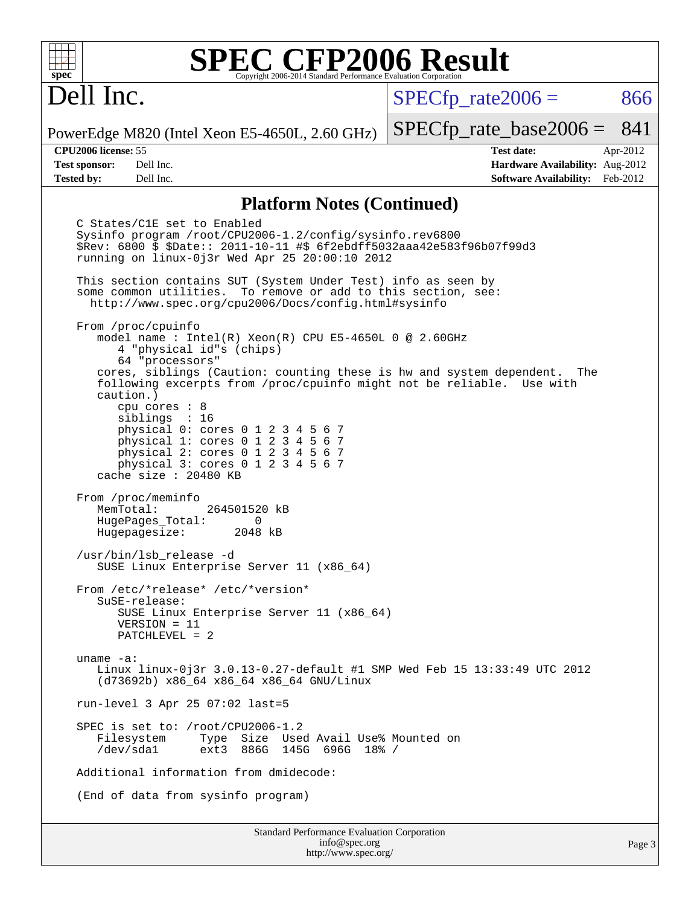## Dell Inc.

 $SPECTp\_rate2006 = 866$ 

PowerEdge M820 (Intel Xeon E5-4650L, 2.60 GHz)

**[Test sponsor:](http://www.spec.org/auto/cpu2006/Docs/result-fields.html#Testsponsor)** Dell Inc. **[Hardware Availability:](http://www.spec.org/auto/cpu2006/Docs/result-fields.html#HardwareAvailability)** Aug-2012 **[Tested by:](http://www.spec.org/auto/cpu2006/Docs/result-fields.html#Testedby)** Dell Inc. **[Software Availability:](http://www.spec.org/auto/cpu2006/Docs/result-fields.html#SoftwareAvailability)** Feb-2012

[SPECfp\\_rate\\_base2006 =](http://www.spec.org/auto/cpu2006/Docs/result-fields.html#SPECfpratebase2006) 841 **[CPU2006 license:](http://www.spec.org/auto/cpu2006/Docs/result-fields.html#CPU2006license)** 55 **[Test date:](http://www.spec.org/auto/cpu2006/Docs/result-fields.html#Testdate)** Apr-2012

#### **[Platform Notes \(Continued\)](http://www.spec.org/auto/cpu2006/Docs/result-fields.html#PlatformNotes)**

 C States/C1E set to Enabled Sysinfo program /root/CPU2006-1.2/config/sysinfo.rev6800 \$Rev: 6800 \$ \$Date:: 2011-10-11 #\$ 6f2ebdff5032aaa42e583f96b07f99d3 running on linux-0j3r Wed Apr 25 20:00:10 2012 This section contains SUT (System Under Test) info as seen by some common utilities. To remove or add to this section, see: <http://www.spec.org/cpu2006/Docs/config.html#sysinfo> From /proc/cpuinfo model name : Intel(R) Xeon(R) CPU E5-4650L 0 @ 2.60GHz 4 "physical id"s (chips) 64 "processors" cores, siblings (Caution: counting these is hw and system dependent. The following excerpts from /proc/cpuinfo might not be reliable. Use with caution.) cpu cores : 8 siblings : 16 physical 0: cores 0 1 2 3 4 5 6 7 physical 1: cores 0 1 2 3 4 5 6 7 physical 2: cores 0 1 2 3 4 5 6 7 physical 3: cores 0 1 2 3 4 5 6 7 cache size : 20480 KB From /proc/meminfo<br>MemTotal: 264501520 kB HugePages\_Total: 0<br>Hugepagesize: 2048 kB Hugepagesize: /usr/bin/lsb\_release -d SUSE Linux Enterprise Server 11 (x86\_64) From /etc/\*release\* /etc/\*version\* SuSE-release: SUSE Linux Enterprise Server 11 (x86\_64) VERSION = 11 PATCHLEVEL = 2 uname -a: Linux linux-0j3r 3.0.13-0.27-default #1 SMP Wed Feb 15 13:33:49 UTC 2012 (d73692b) x86\_64 x86\_64 x86\_64 GNU/Linux run-level 3 Apr 25 07:02 last=5 SPEC is set to: /root/CPU2006-1.2 Filesystem Type Size Used Avail Use% Mounted on<br>
/dev/sdal ext3 886G 145G 696G 18% / ext3 886G 145G 696G 18% / Additional information from dmidecode: (End of data from sysinfo program)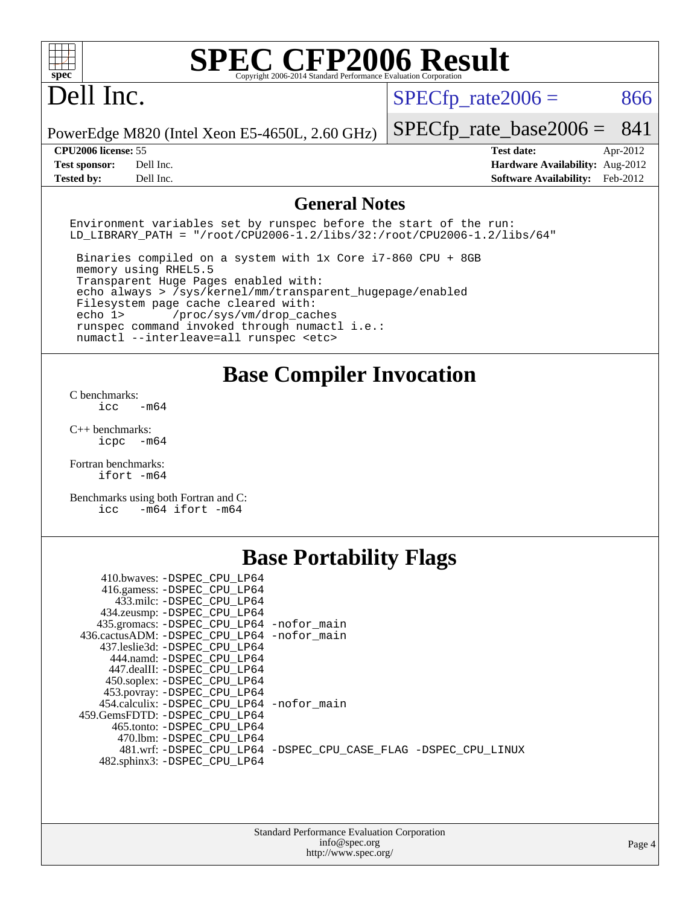## Dell Inc.

 $SPECTp\_rate2006 = 866$ 

PowerEdge M820 (Intel Xeon E5-4650L, 2.60 GHz)

**[Test sponsor:](http://www.spec.org/auto/cpu2006/Docs/result-fields.html#Testsponsor)** Dell Inc. **[Hardware Availability:](http://www.spec.org/auto/cpu2006/Docs/result-fields.html#HardwareAvailability)** Aug-2012 **[Tested by:](http://www.spec.org/auto/cpu2006/Docs/result-fields.html#Testedby)** Dell Inc. **[Software Availability:](http://www.spec.org/auto/cpu2006/Docs/result-fields.html#SoftwareAvailability)** Feb-2012

[SPECfp\\_rate\\_base2006 =](http://www.spec.org/auto/cpu2006/Docs/result-fields.html#SPECfpratebase2006) 841 **[CPU2006 license:](http://www.spec.org/auto/cpu2006/Docs/result-fields.html#CPU2006license)** 55 **[Test date:](http://www.spec.org/auto/cpu2006/Docs/result-fields.html#Testdate)** Apr-2012

#### **[General Notes](http://www.spec.org/auto/cpu2006/Docs/result-fields.html#GeneralNotes)**

Environment variables set by runspec before the start of the run: LD LIBRARY PATH = "/root/CPU2006-1.2/libs/32:/root/CPU2006-1.2/libs/64"

 Binaries compiled on a system with 1x Core i7-860 CPU + 8GB memory using RHEL5.5 Transparent Huge Pages enabled with: echo always > /sys/kernel/mm/transparent\_hugepage/enabled Filesystem page cache cleared with: echo 1> /proc/sys/vm/drop\_caches runspec command invoked through numactl i.e.: numactl --interleave=all runspec <etc>

**[Base Compiler Invocation](http://www.spec.org/auto/cpu2006/Docs/result-fields.html#BaseCompilerInvocation)**

[C benchmarks](http://www.spec.org/auto/cpu2006/Docs/result-fields.html#Cbenchmarks):  $\frac{1}{2}$ cc  $-\text{m64}$ 

[C++ benchmarks:](http://www.spec.org/auto/cpu2006/Docs/result-fields.html#CXXbenchmarks) [icpc -m64](http://www.spec.org/cpu2006/results/res2012q3/cpu2006-20120703-23457.flags.html#user_CXXbase_intel_icpc_64bit_bedb90c1146cab66620883ef4f41a67e)

[Fortran benchmarks](http://www.spec.org/auto/cpu2006/Docs/result-fields.html#Fortranbenchmarks): [ifort -m64](http://www.spec.org/cpu2006/results/res2012q3/cpu2006-20120703-23457.flags.html#user_FCbase_intel_ifort_64bit_ee9d0fb25645d0210d97eb0527dcc06e)

[Benchmarks using both Fortran and C](http://www.spec.org/auto/cpu2006/Docs/result-fields.html#BenchmarksusingbothFortranandC): [icc -m64](http://www.spec.org/cpu2006/results/res2012q3/cpu2006-20120703-23457.flags.html#user_CC_FCbase_intel_icc_64bit_0b7121f5ab7cfabee23d88897260401c) [ifort -m64](http://www.spec.org/cpu2006/results/res2012q3/cpu2006-20120703-23457.flags.html#user_CC_FCbase_intel_ifort_64bit_ee9d0fb25645d0210d97eb0527dcc06e)

### **[Base Portability Flags](http://www.spec.org/auto/cpu2006/Docs/result-fields.html#BasePortabilityFlags)**

| 410.bwaves: -DSPEC CPU LP64                 |                                                                |
|---------------------------------------------|----------------------------------------------------------------|
| 416.gamess: -DSPEC_CPU_LP64                 |                                                                |
| 433.milc: -DSPEC CPU LP64                   |                                                                |
| 434.zeusmp: - DSPEC_CPU_LP64                |                                                                |
| 435.gromacs: -DSPEC_CPU_LP64 -nofor_main    |                                                                |
| 436.cactusADM: -DSPEC CPU LP64 -nofor main  |                                                                |
| 437.leslie3d: -DSPEC CPU LP64               |                                                                |
| 444.namd: -DSPEC CPU LP64                   |                                                                |
| 447.dealII: -DSPEC CPU LP64                 |                                                                |
| 450.soplex: -DSPEC_CPU_LP64                 |                                                                |
| 453.povray: -DSPEC CPU LP64                 |                                                                |
| 454.calculix: - DSPEC CPU LP64 - nofor main |                                                                |
| 459.GemsFDTD: - DSPEC_CPU LP64              |                                                                |
| 465.tonto: - DSPEC CPU LP64                 |                                                                |
| 470.1bm: - DSPEC CPU LP64                   |                                                                |
|                                             | 481.wrf: -DSPEC CPU_LP64 -DSPEC_CPU_CASE_FLAG -DSPEC_CPU_LINUX |
| 482.sphinx3: -DSPEC_CPU_LP64                |                                                                |
|                                             |                                                                |

| <b>Standard Performance Evaluation Corporation</b> |
|----------------------------------------------------|
| info@spec.org                                      |
| http://www.spec.org/                               |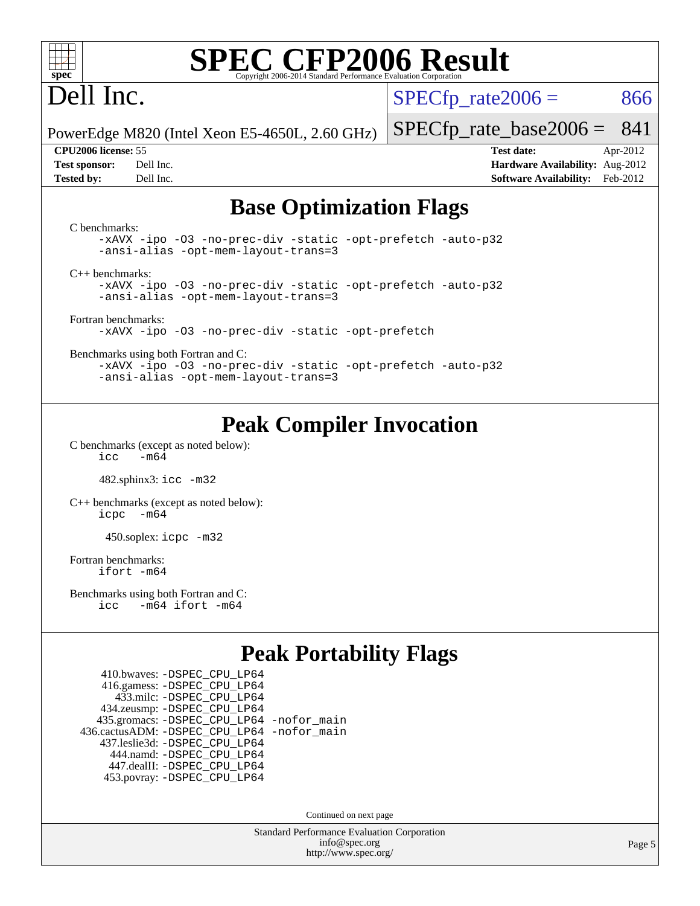

## Dell Inc.

 $SPECTp\_rate2006 = 866$ 

PowerEdge M820 (Intel Xeon E5-4650L, 2.60 GHz)

[SPECfp\\_rate\\_base2006 =](http://www.spec.org/auto/cpu2006/Docs/result-fields.html#SPECfpratebase2006) 841 **[CPU2006 license:](http://www.spec.org/auto/cpu2006/Docs/result-fields.html#CPU2006license)** 55 **[Test date:](http://www.spec.org/auto/cpu2006/Docs/result-fields.html#Testdate)** Apr-2012

**[Test sponsor:](http://www.spec.org/auto/cpu2006/Docs/result-fields.html#Testsponsor)** Dell Inc. **[Hardware Availability:](http://www.spec.org/auto/cpu2006/Docs/result-fields.html#HardwareAvailability)** Aug-2012 **[Tested by:](http://www.spec.org/auto/cpu2006/Docs/result-fields.html#Testedby)** Dell Inc. **[Software Availability:](http://www.spec.org/auto/cpu2006/Docs/result-fields.html#SoftwareAvailability)** Feb-2012

### **[Base Optimization Flags](http://www.spec.org/auto/cpu2006/Docs/result-fields.html#BaseOptimizationFlags)**

[C benchmarks](http://www.spec.org/auto/cpu2006/Docs/result-fields.html#Cbenchmarks): [-xAVX](http://www.spec.org/cpu2006/results/res2012q3/cpu2006-20120703-23457.flags.html#user_CCbase_f-xAVX) [-ipo](http://www.spec.org/cpu2006/results/res2012q3/cpu2006-20120703-23457.flags.html#user_CCbase_f-ipo) [-O3](http://www.spec.org/cpu2006/results/res2012q3/cpu2006-20120703-23457.flags.html#user_CCbase_f-O3) [-no-prec-div](http://www.spec.org/cpu2006/results/res2012q3/cpu2006-20120703-23457.flags.html#user_CCbase_f-no-prec-div) [-static](http://www.spec.org/cpu2006/results/res2012q3/cpu2006-20120703-23457.flags.html#user_CCbase_f-static) [-opt-prefetch](http://www.spec.org/cpu2006/results/res2012q3/cpu2006-20120703-23457.flags.html#user_CCbase_f-opt-prefetch) [-auto-p32](http://www.spec.org/cpu2006/results/res2012q3/cpu2006-20120703-23457.flags.html#user_CCbase_f-auto-p32) [-ansi-alias](http://www.spec.org/cpu2006/results/res2012q3/cpu2006-20120703-23457.flags.html#user_CCbase_f-ansi-alias) [-opt-mem-layout-trans=3](http://www.spec.org/cpu2006/results/res2012q3/cpu2006-20120703-23457.flags.html#user_CCbase_f-opt-mem-layout-trans_a7b82ad4bd7abf52556d4961a2ae94d5) [C++ benchmarks:](http://www.spec.org/auto/cpu2006/Docs/result-fields.html#CXXbenchmarks) [-xAVX](http://www.spec.org/cpu2006/results/res2012q3/cpu2006-20120703-23457.flags.html#user_CXXbase_f-xAVX) [-ipo](http://www.spec.org/cpu2006/results/res2012q3/cpu2006-20120703-23457.flags.html#user_CXXbase_f-ipo) [-O3](http://www.spec.org/cpu2006/results/res2012q3/cpu2006-20120703-23457.flags.html#user_CXXbase_f-O3) [-no-prec-div](http://www.spec.org/cpu2006/results/res2012q3/cpu2006-20120703-23457.flags.html#user_CXXbase_f-no-prec-div) [-static](http://www.spec.org/cpu2006/results/res2012q3/cpu2006-20120703-23457.flags.html#user_CXXbase_f-static) [-opt-prefetch](http://www.spec.org/cpu2006/results/res2012q3/cpu2006-20120703-23457.flags.html#user_CXXbase_f-opt-prefetch) [-auto-p32](http://www.spec.org/cpu2006/results/res2012q3/cpu2006-20120703-23457.flags.html#user_CXXbase_f-auto-p32) [-ansi-alias](http://www.spec.org/cpu2006/results/res2012q3/cpu2006-20120703-23457.flags.html#user_CXXbase_f-ansi-alias) [-opt-mem-layout-trans=3](http://www.spec.org/cpu2006/results/res2012q3/cpu2006-20120703-23457.flags.html#user_CXXbase_f-opt-mem-layout-trans_a7b82ad4bd7abf52556d4961a2ae94d5) [Fortran benchmarks](http://www.spec.org/auto/cpu2006/Docs/result-fields.html#Fortranbenchmarks): [-xAVX](http://www.spec.org/cpu2006/results/res2012q3/cpu2006-20120703-23457.flags.html#user_FCbase_f-xAVX) [-ipo](http://www.spec.org/cpu2006/results/res2012q3/cpu2006-20120703-23457.flags.html#user_FCbase_f-ipo) [-O3](http://www.spec.org/cpu2006/results/res2012q3/cpu2006-20120703-23457.flags.html#user_FCbase_f-O3) [-no-prec-div](http://www.spec.org/cpu2006/results/res2012q3/cpu2006-20120703-23457.flags.html#user_FCbase_f-no-prec-div) [-static](http://www.spec.org/cpu2006/results/res2012q3/cpu2006-20120703-23457.flags.html#user_FCbase_f-static) [-opt-prefetch](http://www.spec.org/cpu2006/results/res2012q3/cpu2006-20120703-23457.flags.html#user_FCbase_f-opt-prefetch) [Benchmarks using both Fortran and C](http://www.spec.org/auto/cpu2006/Docs/result-fields.html#BenchmarksusingbothFortranandC): [-xAVX](http://www.spec.org/cpu2006/results/res2012q3/cpu2006-20120703-23457.flags.html#user_CC_FCbase_f-xAVX) [-ipo](http://www.spec.org/cpu2006/results/res2012q3/cpu2006-20120703-23457.flags.html#user_CC_FCbase_f-ipo) [-O3](http://www.spec.org/cpu2006/results/res2012q3/cpu2006-20120703-23457.flags.html#user_CC_FCbase_f-O3) [-no-prec-div](http://www.spec.org/cpu2006/results/res2012q3/cpu2006-20120703-23457.flags.html#user_CC_FCbase_f-no-prec-div) [-static](http://www.spec.org/cpu2006/results/res2012q3/cpu2006-20120703-23457.flags.html#user_CC_FCbase_f-static) [-opt-prefetch](http://www.spec.org/cpu2006/results/res2012q3/cpu2006-20120703-23457.flags.html#user_CC_FCbase_f-opt-prefetch) [-auto-p32](http://www.spec.org/cpu2006/results/res2012q3/cpu2006-20120703-23457.flags.html#user_CC_FCbase_f-auto-p32) [-ansi-alias](http://www.spec.org/cpu2006/results/res2012q3/cpu2006-20120703-23457.flags.html#user_CC_FCbase_f-ansi-alias) [-opt-mem-layout-trans=3](http://www.spec.org/cpu2006/results/res2012q3/cpu2006-20120703-23457.flags.html#user_CC_FCbase_f-opt-mem-layout-trans_a7b82ad4bd7abf52556d4961a2ae94d5)

### **[Peak Compiler Invocation](http://www.spec.org/auto/cpu2006/Docs/result-fields.html#PeakCompilerInvocation)**

[C benchmarks \(except as noted below\)](http://www.spec.org/auto/cpu2006/Docs/result-fields.html#Cbenchmarksexceptasnotedbelow):  $\text{icc}$  -m64

482.sphinx3: [icc -m32](http://www.spec.org/cpu2006/results/res2012q3/cpu2006-20120703-23457.flags.html#user_peakCCLD482_sphinx3_intel_icc_a6a621f8d50482236b970c6ac5f55f93)

[C++ benchmarks \(except as noted below\):](http://www.spec.org/auto/cpu2006/Docs/result-fields.html#CXXbenchmarksexceptasnotedbelow) [icpc -m64](http://www.spec.org/cpu2006/results/res2012q3/cpu2006-20120703-23457.flags.html#user_CXXpeak_intel_icpc_64bit_bedb90c1146cab66620883ef4f41a67e)

450.soplex: [icpc -m32](http://www.spec.org/cpu2006/results/res2012q3/cpu2006-20120703-23457.flags.html#user_peakCXXLD450_soplex_intel_icpc_4e5a5ef1a53fd332b3c49e69c3330699)

[Fortran benchmarks](http://www.spec.org/auto/cpu2006/Docs/result-fields.html#Fortranbenchmarks): [ifort -m64](http://www.spec.org/cpu2006/results/res2012q3/cpu2006-20120703-23457.flags.html#user_FCpeak_intel_ifort_64bit_ee9d0fb25645d0210d97eb0527dcc06e)

[Benchmarks using both Fortran and C](http://www.spec.org/auto/cpu2006/Docs/result-fields.html#BenchmarksusingbothFortranandC): [icc -m64](http://www.spec.org/cpu2006/results/res2012q3/cpu2006-20120703-23457.flags.html#user_CC_FCpeak_intel_icc_64bit_0b7121f5ab7cfabee23d88897260401c) [ifort -m64](http://www.spec.org/cpu2006/results/res2012q3/cpu2006-20120703-23457.flags.html#user_CC_FCpeak_intel_ifort_64bit_ee9d0fb25645d0210d97eb0527dcc06e)

### **[Peak Portability Flags](http://www.spec.org/auto/cpu2006/Docs/result-fields.html#PeakPortabilityFlags)**

 410.bwaves: [-DSPEC\\_CPU\\_LP64](http://www.spec.org/cpu2006/results/res2012q3/cpu2006-20120703-23457.flags.html#suite_peakPORTABILITY410_bwaves_DSPEC_CPU_LP64) 416.gamess: [-DSPEC\\_CPU\\_LP64](http://www.spec.org/cpu2006/results/res2012q3/cpu2006-20120703-23457.flags.html#suite_peakPORTABILITY416_gamess_DSPEC_CPU_LP64) 433.milc: [-DSPEC\\_CPU\\_LP64](http://www.spec.org/cpu2006/results/res2012q3/cpu2006-20120703-23457.flags.html#suite_peakPORTABILITY433_milc_DSPEC_CPU_LP64) 434.zeusmp: [-DSPEC\\_CPU\\_LP64](http://www.spec.org/cpu2006/results/res2012q3/cpu2006-20120703-23457.flags.html#suite_peakPORTABILITY434_zeusmp_DSPEC_CPU_LP64) 435.gromacs: [-DSPEC\\_CPU\\_LP64](http://www.spec.org/cpu2006/results/res2012q3/cpu2006-20120703-23457.flags.html#suite_peakPORTABILITY435_gromacs_DSPEC_CPU_LP64) [-nofor\\_main](http://www.spec.org/cpu2006/results/res2012q3/cpu2006-20120703-23457.flags.html#user_peakLDPORTABILITY435_gromacs_f-nofor_main) 436.cactusADM: [-DSPEC\\_CPU\\_LP64](http://www.spec.org/cpu2006/results/res2012q3/cpu2006-20120703-23457.flags.html#suite_peakPORTABILITY436_cactusADM_DSPEC_CPU_LP64) [-nofor\\_main](http://www.spec.org/cpu2006/results/res2012q3/cpu2006-20120703-23457.flags.html#user_peakLDPORTABILITY436_cactusADM_f-nofor_main) 437.leslie3d: [-DSPEC\\_CPU\\_LP64](http://www.spec.org/cpu2006/results/res2012q3/cpu2006-20120703-23457.flags.html#suite_peakPORTABILITY437_leslie3d_DSPEC_CPU_LP64) 444.namd: [-DSPEC\\_CPU\\_LP64](http://www.spec.org/cpu2006/results/res2012q3/cpu2006-20120703-23457.flags.html#suite_peakPORTABILITY444_namd_DSPEC_CPU_LP64) 447.dealII: [-DSPEC\\_CPU\\_LP64](http://www.spec.org/cpu2006/results/res2012q3/cpu2006-20120703-23457.flags.html#suite_peakPORTABILITY447_dealII_DSPEC_CPU_LP64) 453.povray: [-DSPEC\\_CPU\\_LP64](http://www.spec.org/cpu2006/results/res2012q3/cpu2006-20120703-23457.flags.html#suite_peakPORTABILITY453_povray_DSPEC_CPU_LP64)

Continued on next page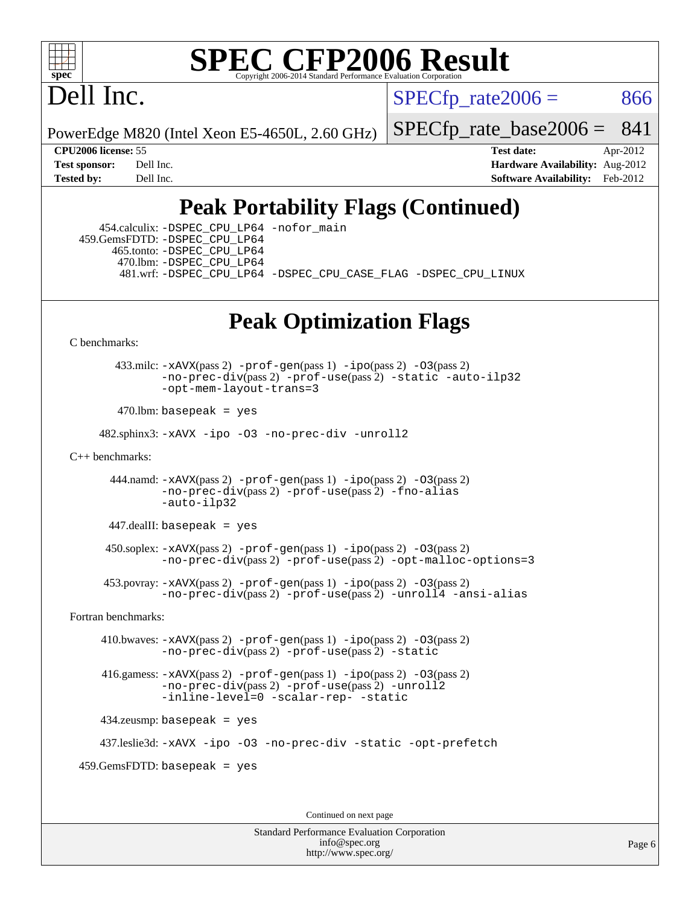

Dell Inc.

 $SPECTp\_rate2006 = 866$ 

PowerEdge M820 (Intel Xeon E5-4650L, 2.60 GHz)

[SPECfp\\_rate\\_base2006 =](http://www.spec.org/auto/cpu2006/Docs/result-fields.html#SPECfpratebase2006) 841

**[CPU2006 license:](http://www.spec.org/auto/cpu2006/Docs/result-fields.html#CPU2006license)** 55 **[Test date:](http://www.spec.org/auto/cpu2006/Docs/result-fields.html#Testdate)** Apr-2012 **[Test sponsor:](http://www.spec.org/auto/cpu2006/Docs/result-fields.html#Testsponsor)** Dell Inc. **[Hardware Availability:](http://www.spec.org/auto/cpu2006/Docs/result-fields.html#HardwareAvailability)** Aug-2012 **[Tested by:](http://www.spec.org/auto/cpu2006/Docs/result-fields.html#Testedby)** Dell Inc. **[Software Availability:](http://www.spec.org/auto/cpu2006/Docs/result-fields.html#SoftwareAvailability)** Feb-2012

## **[Peak Portability Flags \(Continued\)](http://www.spec.org/auto/cpu2006/Docs/result-fields.html#PeakPortabilityFlags)**

 454.calculix: [-DSPEC\\_CPU\\_LP64](http://www.spec.org/cpu2006/results/res2012q3/cpu2006-20120703-23457.flags.html#suite_peakPORTABILITY454_calculix_DSPEC_CPU_LP64) [-nofor\\_main](http://www.spec.org/cpu2006/results/res2012q3/cpu2006-20120703-23457.flags.html#user_peakLDPORTABILITY454_calculix_f-nofor_main) 459.GemsFDTD: [-DSPEC\\_CPU\\_LP64](http://www.spec.org/cpu2006/results/res2012q3/cpu2006-20120703-23457.flags.html#suite_peakPORTABILITY459_GemsFDTD_DSPEC_CPU_LP64) 465.tonto: [-DSPEC\\_CPU\\_LP64](http://www.spec.org/cpu2006/results/res2012q3/cpu2006-20120703-23457.flags.html#suite_peakPORTABILITY465_tonto_DSPEC_CPU_LP64) 470.lbm: [-DSPEC\\_CPU\\_LP64](http://www.spec.org/cpu2006/results/res2012q3/cpu2006-20120703-23457.flags.html#suite_peakPORTABILITY470_lbm_DSPEC_CPU_LP64) 481.wrf: [-DSPEC\\_CPU\\_LP64](http://www.spec.org/cpu2006/results/res2012q3/cpu2006-20120703-23457.flags.html#suite_peakPORTABILITY481_wrf_DSPEC_CPU_LP64) [-DSPEC\\_CPU\\_CASE\\_FLAG](http://www.spec.org/cpu2006/results/res2012q3/cpu2006-20120703-23457.flags.html#b481.wrf_peakCPORTABILITY_DSPEC_CPU_CASE_FLAG) [-DSPEC\\_CPU\\_LINUX](http://www.spec.org/cpu2006/results/res2012q3/cpu2006-20120703-23457.flags.html#b481.wrf_peakCPORTABILITY_DSPEC_CPU_LINUX)

### **[Peak Optimization Flags](http://www.spec.org/auto/cpu2006/Docs/result-fields.html#PeakOptimizationFlags)**

[C benchmarks](http://www.spec.org/auto/cpu2006/Docs/result-fields.html#Cbenchmarks):

 433.milc: [-xAVX](http://www.spec.org/cpu2006/results/res2012q3/cpu2006-20120703-23457.flags.html#user_peakPASS2_CFLAGSPASS2_LDFLAGS433_milc_f-xAVX)(pass 2) [-prof-gen](http://www.spec.org/cpu2006/results/res2012q3/cpu2006-20120703-23457.flags.html#user_peakPASS1_CFLAGSPASS1_LDFLAGS433_milc_prof_gen_e43856698f6ca7b7e442dfd80e94a8fc)(pass 1) [-ipo](http://www.spec.org/cpu2006/results/res2012q3/cpu2006-20120703-23457.flags.html#user_peakPASS2_CFLAGSPASS2_LDFLAGS433_milc_f-ipo)(pass 2) [-O3](http://www.spec.org/cpu2006/results/res2012q3/cpu2006-20120703-23457.flags.html#user_peakPASS2_CFLAGSPASS2_LDFLAGS433_milc_f-O3)(pass 2) [-no-prec-div](http://www.spec.org/cpu2006/results/res2012q3/cpu2006-20120703-23457.flags.html#user_peakPASS2_CFLAGSPASS2_LDFLAGS433_milc_f-no-prec-div)(pass 2) [-prof-use](http://www.spec.org/cpu2006/results/res2012q3/cpu2006-20120703-23457.flags.html#user_peakPASS2_CFLAGSPASS2_LDFLAGS433_milc_prof_use_bccf7792157ff70d64e32fe3e1250b55)(pass 2) [-static](http://www.spec.org/cpu2006/results/res2012q3/cpu2006-20120703-23457.flags.html#user_peakOPTIMIZE433_milc_f-static) [-auto-ilp32](http://www.spec.org/cpu2006/results/res2012q3/cpu2006-20120703-23457.flags.html#user_peakCOPTIMIZE433_milc_f-auto-ilp32) [-opt-mem-layout-trans=3](http://www.spec.org/cpu2006/results/res2012q3/cpu2006-20120703-23457.flags.html#user_peakCOPTIMIZE433_milc_f-opt-mem-layout-trans_a7b82ad4bd7abf52556d4961a2ae94d5)

 $470$ .lbm: basepeak = yes

482.sphinx3: [-xAVX](http://www.spec.org/cpu2006/results/res2012q3/cpu2006-20120703-23457.flags.html#user_peakOPTIMIZE482_sphinx3_f-xAVX) [-ipo](http://www.spec.org/cpu2006/results/res2012q3/cpu2006-20120703-23457.flags.html#user_peakOPTIMIZE482_sphinx3_f-ipo) [-O3](http://www.spec.org/cpu2006/results/res2012q3/cpu2006-20120703-23457.flags.html#user_peakOPTIMIZE482_sphinx3_f-O3) [-no-prec-div](http://www.spec.org/cpu2006/results/res2012q3/cpu2006-20120703-23457.flags.html#user_peakOPTIMIZE482_sphinx3_f-no-prec-div) [-unroll2](http://www.spec.org/cpu2006/results/res2012q3/cpu2006-20120703-23457.flags.html#user_peakCOPTIMIZE482_sphinx3_f-unroll_784dae83bebfb236979b41d2422d7ec2)

[C++ benchmarks:](http://www.spec.org/auto/cpu2006/Docs/result-fields.html#CXXbenchmarks)

444.namd:  $-xAVX(pass 2)$  $-xAVX(pass 2)$  [-prof-gen](http://www.spec.org/cpu2006/results/res2012q3/cpu2006-20120703-23457.flags.html#user_peakPASS1_CXXFLAGSPASS1_LDFLAGS444_namd_prof_gen_e43856698f6ca7b7e442dfd80e94a8fc)(pass 1) [-ipo](http://www.spec.org/cpu2006/results/res2012q3/cpu2006-20120703-23457.flags.html#user_peakPASS2_CXXFLAGSPASS2_LDFLAGS444_namd_f-ipo)(pass 2) [-O3](http://www.spec.org/cpu2006/results/res2012q3/cpu2006-20120703-23457.flags.html#user_peakPASS2_CXXFLAGSPASS2_LDFLAGS444_namd_f-O3)(pass 2) [-no-prec-div](http://www.spec.org/cpu2006/results/res2012q3/cpu2006-20120703-23457.flags.html#user_peakPASS2_CXXFLAGSPASS2_LDFLAGS444_namd_f-no-prec-div)(pass 2) [-prof-use](http://www.spec.org/cpu2006/results/res2012q3/cpu2006-20120703-23457.flags.html#user_peakPASS2_CXXFLAGSPASS2_LDFLAGS444_namd_prof_use_bccf7792157ff70d64e32fe3e1250b55)(pass 2) [-fno-alias](http://www.spec.org/cpu2006/results/res2012q3/cpu2006-20120703-23457.flags.html#user_peakCXXOPTIMIZE444_namd_f-no-alias_694e77f6c5a51e658e82ccff53a9e63a) [-auto-ilp32](http://www.spec.org/cpu2006/results/res2012q3/cpu2006-20120703-23457.flags.html#user_peakCXXOPTIMIZE444_namd_f-auto-ilp32)

 $447$ .dealII: basepeak = yes

 $450$ .soplex:  $-x$ AVX(pass 2)  $-p$ rof-gen(pass 1)  $-i$ po(pass 2)  $-03$ (pass 2) [-no-prec-div](http://www.spec.org/cpu2006/results/res2012q3/cpu2006-20120703-23457.flags.html#user_peakPASS2_CXXFLAGSPASS2_LDFLAGS450_soplex_f-no-prec-div)(pass 2) [-prof-use](http://www.spec.org/cpu2006/results/res2012q3/cpu2006-20120703-23457.flags.html#user_peakPASS2_CXXFLAGSPASS2_LDFLAGS450_soplex_prof_use_bccf7792157ff70d64e32fe3e1250b55)(pass 2) [-opt-malloc-options=3](http://www.spec.org/cpu2006/results/res2012q3/cpu2006-20120703-23457.flags.html#user_peakOPTIMIZE450_soplex_f-opt-malloc-options_13ab9b803cf986b4ee62f0a5998c2238)

 453.povray: [-xAVX](http://www.spec.org/cpu2006/results/res2012q3/cpu2006-20120703-23457.flags.html#user_peakPASS2_CXXFLAGSPASS2_LDFLAGS453_povray_f-xAVX)(pass 2) [-prof-gen](http://www.spec.org/cpu2006/results/res2012q3/cpu2006-20120703-23457.flags.html#user_peakPASS1_CXXFLAGSPASS1_LDFLAGS453_povray_prof_gen_e43856698f6ca7b7e442dfd80e94a8fc)(pass 1) [-ipo](http://www.spec.org/cpu2006/results/res2012q3/cpu2006-20120703-23457.flags.html#user_peakPASS2_CXXFLAGSPASS2_LDFLAGS453_povray_f-ipo)(pass 2) [-O3](http://www.spec.org/cpu2006/results/res2012q3/cpu2006-20120703-23457.flags.html#user_peakPASS2_CXXFLAGSPASS2_LDFLAGS453_povray_f-O3)(pass 2) [-no-prec-div](http://www.spec.org/cpu2006/results/res2012q3/cpu2006-20120703-23457.flags.html#user_peakPASS2_CXXFLAGSPASS2_LDFLAGS453_povray_f-no-prec-div)(pass 2) [-prof-use](http://www.spec.org/cpu2006/results/res2012q3/cpu2006-20120703-23457.flags.html#user_peakPASS2_CXXFLAGSPASS2_LDFLAGS453_povray_prof_use_bccf7792157ff70d64e32fe3e1250b55)(pass 2) [-unroll4](http://www.spec.org/cpu2006/results/res2012q3/cpu2006-20120703-23457.flags.html#user_peakCXXOPTIMIZE453_povray_f-unroll_4e5e4ed65b7fd20bdcd365bec371b81f) [-ansi-alias](http://www.spec.org/cpu2006/results/res2012q3/cpu2006-20120703-23457.flags.html#user_peakCXXOPTIMIZE453_povray_f-ansi-alias)

[Fortran benchmarks](http://www.spec.org/auto/cpu2006/Docs/result-fields.html#Fortranbenchmarks):

 410.bwaves: [-xAVX](http://www.spec.org/cpu2006/results/res2012q3/cpu2006-20120703-23457.flags.html#user_peakPASS2_FFLAGSPASS2_LDFLAGS410_bwaves_f-xAVX)(pass 2) [-prof-gen](http://www.spec.org/cpu2006/results/res2012q3/cpu2006-20120703-23457.flags.html#user_peakPASS1_FFLAGSPASS1_LDFLAGS410_bwaves_prof_gen_e43856698f6ca7b7e442dfd80e94a8fc)(pass 1) [-ipo](http://www.spec.org/cpu2006/results/res2012q3/cpu2006-20120703-23457.flags.html#user_peakPASS2_FFLAGSPASS2_LDFLAGS410_bwaves_f-ipo)(pass 2) [-O3](http://www.spec.org/cpu2006/results/res2012q3/cpu2006-20120703-23457.flags.html#user_peakPASS2_FFLAGSPASS2_LDFLAGS410_bwaves_f-O3)(pass 2) [-no-prec-div](http://www.spec.org/cpu2006/results/res2012q3/cpu2006-20120703-23457.flags.html#user_peakPASS2_FFLAGSPASS2_LDFLAGS410_bwaves_f-no-prec-div)(pass 2) [-prof-use](http://www.spec.org/cpu2006/results/res2012q3/cpu2006-20120703-23457.flags.html#user_peakPASS2_FFLAGSPASS2_LDFLAGS410_bwaves_prof_use_bccf7792157ff70d64e32fe3e1250b55)(pass 2) [-static](http://www.spec.org/cpu2006/results/res2012q3/cpu2006-20120703-23457.flags.html#user_peakOPTIMIZE410_bwaves_f-static)

 416.gamess: [-xAVX](http://www.spec.org/cpu2006/results/res2012q3/cpu2006-20120703-23457.flags.html#user_peakPASS2_FFLAGSPASS2_LDFLAGS416_gamess_f-xAVX)(pass 2) [-prof-gen](http://www.spec.org/cpu2006/results/res2012q3/cpu2006-20120703-23457.flags.html#user_peakPASS1_FFLAGSPASS1_LDFLAGS416_gamess_prof_gen_e43856698f6ca7b7e442dfd80e94a8fc)(pass 1) [-ipo](http://www.spec.org/cpu2006/results/res2012q3/cpu2006-20120703-23457.flags.html#user_peakPASS2_FFLAGSPASS2_LDFLAGS416_gamess_f-ipo)(pass 2) [-O3](http://www.spec.org/cpu2006/results/res2012q3/cpu2006-20120703-23457.flags.html#user_peakPASS2_FFLAGSPASS2_LDFLAGS416_gamess_f-O3)(pass 2) [-no-prec-div](http://www.spec.org/cpu2006/results/res2012q3/cpu2006-20120703-23457.flags.html#user_peakPASS2_FFLAGSPASS2_LDFLAGS416_gamess_f-no-prec-div)(pass 2) [-prof-use](http://www.spec.org/cpu2006/results/res2012q3/cpu2006-20120703-23457.flags.html#user_peakPASS2_FFLAGSPASS2_LDFLAGS416_gamess_prof_use_bccf7792157ff70d64e32fe3e1250b55)(pass 2) [-unroll2](http://www.spec.org/cpu2006/results/res2012q3/cpu2006-20120703-23457.flags.html#user_peakOPTIMIZE416_gamess_f-unroll_784dae83bebfb236979b41d2422d7ec2) [-inline-level=0](http://www.spec.org/cpu2006/results/res2012q3/cpu2006-20120703-23457.flags.html#user_peakOPTIMIZE416_gamess_f-inline-level_318d07a09274ad25e8d15dbfaa68ba50) [-scalar-rep-](http://www.spec.org/cpu2006/results/res2012q3/cpu2006-20120703-23457.flags.html#user_peakOPTIMIZE416_gamess_f-disablescalarrep_abbcad04450fb118e4809c81d83c8a1d) [-static](http://www.spec.org/cpu2006/results/res2012q3/cpu2006-20120703-23457.flags.html#user_peakOPTIMIZE416_gamess_f-static)

434.zeusmp: basepeak = yes

437.leslie3d: [-xAVX](http://www.spec.org/cpu2006/results/res2012q3/cpu2006-20120703-23457.flags.html#user_peakOPTIMIZE437_leslie3d_f-xAVX) [-ipo](http://www.spec.org/cpu2006/results/res2012q3/cpu2006-20120703-23457.flags.html#user_peakOPTIMIZE437_leslie3d_f-ipo) [-O3](http://www.spec.org/cpu2006/results/res2012q3/cpu2006-20120703-23457.flags.html#user_peakOPTIMIZE437_leslie3d_f-O3) [-no-prec-div](http://www.spec.org/cpu2006/results/res2012q3/cpu2006-20120703-23457.flags.html#user_peakOPTIMIZE437_leslie3d_f-no-prec-div) [-static](http://www.spec.org/cpu2006/results/res2012q3/cpu2006-20120703-23457.flags.html#user_peakOPTIMIZE437_leslie3d_f-static) [-opt-prefetch](http://www.spec.org/cpu2006/results/res2012q3/cpu2006-20120703-23457.flags.html#user_peakOPTIMIZE437_leslie3d_f-opt-prefetch)

459.GemsFDTD: basepeak = yes

Continued on next page